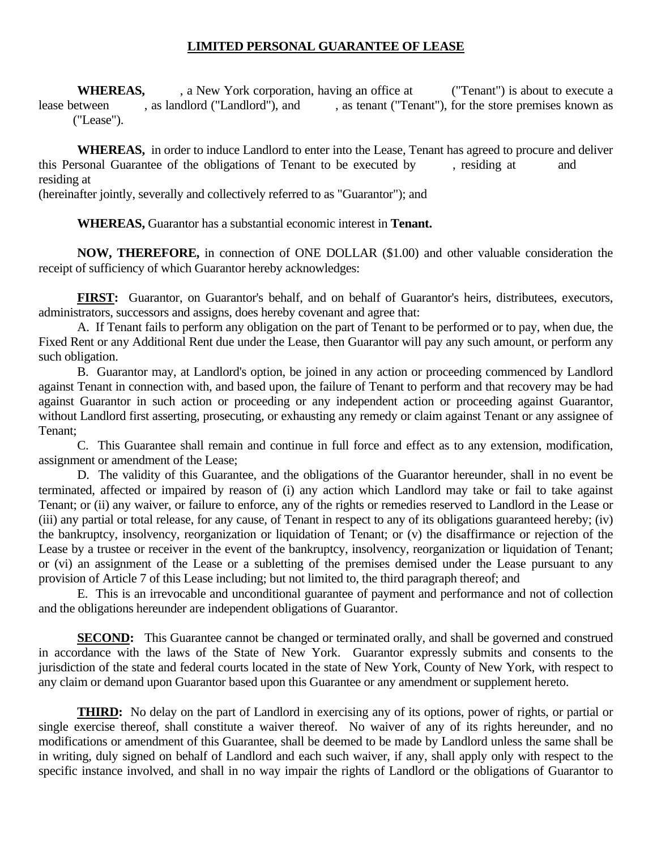## **LIMITED PERSONAL GUARANTEE OF LEASE**

**WHEREAS,** , a New York corporation, having an office at ("Tenant") is about to execute a lease between , as landlord ("Landlord"), and , as tenant ("Tenant"), for the store premises known as ("Lease").

 **WHEREAS,** in order to induce Landlord to enter into the Lease, Tenant has agreed to procure and deliver this Personal Guarantee of the obligations of Tenant to be executed by , residing at and residing at

(hereinafter jointly, severally and collectively referred to as "Guarantor"); and

 **WHEREAS,** Guarantor has a substantial economic interest in **Tenant.** 

 **NOW, THEREFORE,** in connection of ONE DOLLAR (\$1.00) and other valuable consideration the receipt of sufficiency of which Guarantor hereby acknowledges:

**FIRST:** Guarantor, on Guarantor's behalf, and on behalf of Guarantor's heirs, distributees, executors, administrators, successors and assigns, does hereby covenant and agree that:

 A. If Tenant fails to perform any obligation on the part of Tenant to be performed or to pay, when due, the Fixed Rent or any Additional Rent due under the Lease, then Guarantor will pay any such amount, or perform any such obligation.

 B. Guarantor may, at Landlord's option, be joined in any action or proceeding commenced by Landlord against Tenant in connection with, and based upon, the failure of Tenant to perform and that recovery may be had against Guarantor in such action or proceeding or any independent action or proceeding against Guarantor, without Landlord first asserting, prosecuting, or exhausting any remedy or claim against Tenant or any assignee of Tenant;

 C. This Guarantee shall remain and continue in full force and effect as to any extension, modification, assignment or amendment of the Lease;

 D. The validity of this Guarantee, and the obligations of the Guarantor hereunder, shall in no event be terminated, affected or impaired by reason of (i) any action which Landlord may take or fail to take against Tenant; or (ii) any waiver, or failure to enforce, any of the rights or remedies reserved to Landlord in the Lease or (iii) any partial or total release, for any cause, of Tenant in respect to any of its obligations guaranteed hereby; (iv) the bankruptcy, insolvency, reorganization or liquidation of Tenant; or (v) the disaffirmance or rejection of the Lease by a trustee or receiver in the event of the bankruptcy, insolvency, reorganization or liquidation of Tenant; or (vi) an assignment of the Lease or a subletting of the premises demised under the Lease pursuant to any provision of Article 7 of this Lease including; but not limited to, the third paragraph thereof; and

 E. This is an irrevocable and unconditional guarantee of payment and performance and not of collection and the obligations hereunder are independent obligations of Guarantor.

**SECOND:** This Guarantee cannot be changed or terminated orally, and shall be governed and construed in accordance with the laws of the State of New York. Guarantor expressly submits and consents to the jurisdiction of the state and federal courts located in the state of New York, County of New York, with respect to any claim or demand upon Guarantor based upon this Guarantee or any amendment or supplement hereto.

**THIRD:** No delay on the part of Landlord in exercising any of its options, power of rights, or partial or single exercise thereof, shall constitute a waiver thereof. No waiver of any of its rights hereunder, and no modifications or amendment of this Guarantee, shall be deemed to be made by Landlord unless the same shall be in writing, duly signed on behalf of Landlord and each such waiver, if any, shall apply only with respect to the specific instance involved, and shall in no way impair the rights of Landlord or the obligations of Guarantor to